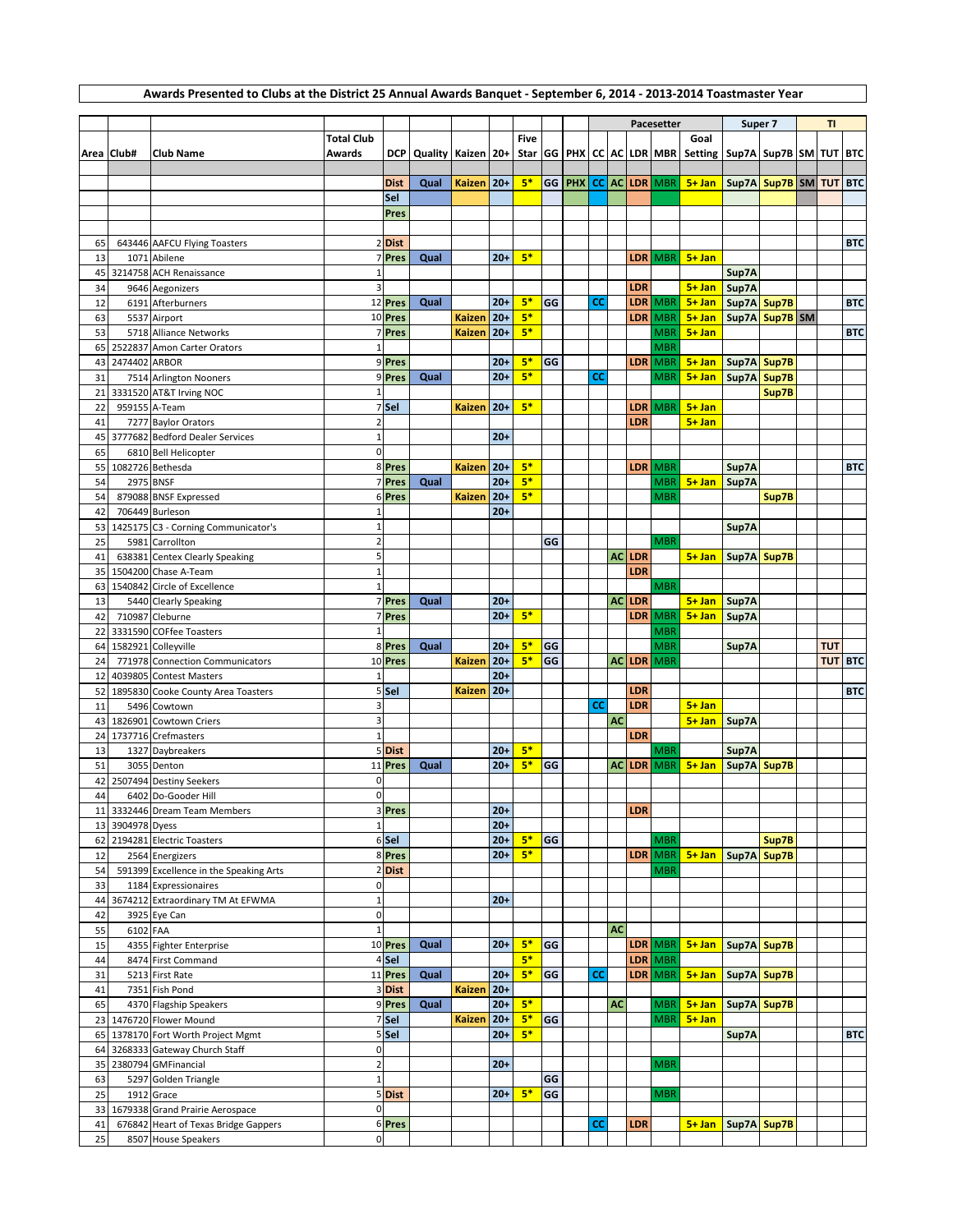|    |                     |                                        |                         |             |                              |               |       |             |    | Pacesetter |           |               |                   | Super 7                                                                        |                        | TI             |  |            |                |
|----|---------------------|----------------------------------------|-------------------------|-------------|------------------------------|---------------|-------|-------------|----|------------|-----------|---------------|-------------------|--------------------------------------------------------------------------------|------------------------|----------------|--|------------|----------------|
|    |                     |                                        | <b>Total Club</b>       |             |                              |               |       | <b>Five</b> |    |            |           |               |                   | Goal                                                                           |                        |                |  |            |                |
|    | Area Club#          | <b>Club Name</b>                       | Awards                  |             | DCP   Quality   Kaizen   20+ |               |       |             |    |            |           |               |                   | Star GG   PHX   CC   AC   LDR   MBR   Setting   Sup7A   Sup7B   SM   TUT   BTC |                        |                |  |            |                |
|    |                     |                                        |                         |             |                              |               |       |             |    |            |           |               |                   |                                                                                |                        |                |  |            |                |
|    |                     |                                        |                         | <b>Dist</b> | Qual                         | <b>Kaizen</b> | $20+$ | $5*$        | GG |            |           |               | PHX CC AC LDR MBR | 5+ Jan   Sup7A   Sup7B   SM   TUT   BTC                                        |                        |                |  |            |                |
|    |                     |                                        |                         | Sel         |                              |               |       |             |    |            |           |               |                   |                                                                                |                        |                |  |            |                |
|    |                     |                                        |                         | Pres        |                              |               |       |             |    |            |           |               |                   |                                                                                |                        |                |  |            |                |
|    |                     |                                        |                         |             |                              |               |       |             |    |            |           |               |                   |                                                                                |                        |                |  |            |                |
| 65 |                     | 643446 AAFCU Flying Toasters           |                         | 2 Dist      |                              |               |       |             |    |            |           |               |                   |                                                                                |                        |                |  |            | <b>BTC</b>     |
| 13 |                     | 1071 Abilene                           |                         | 7 Pres      | Qual                         |               | $20+$ | $5*$        |    |            |           | LDR           | <b>MBR</b>        | $5 + Jan$                                                                      |                        |                |  |            |                |
| 45 |                     | 3214758 ACH Renaissance                | $\mathbf 1$             |             |                              |               |       |             |    |            |           |               |                   |                                                                                | Sup7A                  |                |  |            |                |
| 34 |                     | 9646 Aegonizers                        | $\overline{3}$          |             |                              |               |       |             |    |            |           | LDR           |                   | $5+$ Jan                                                                       | Sup7A                  |                |  |            |                |
| 12 |                     | 6191 Afterburners                      |                         | 12 Pres     | Qual                         |               | $20+$ | $5*$        | GG | <b>CC</b>  |           | LDR           | <b>MBR</b>        | $5 + Jan$                                                                      | Sup7A Sup7B            |                |  |            | <b>BTC</b>     |
| 63 |                     | 5537 Airport                           |                         | 10 Pres     |                              | <b>Kaizen</b> | $20+$ | $5*$        |    |            |           | LDR           | <b>MBR</b>        | $5 + Jan$                                                                      |                        | Sup7A Sup7B SM |  |            |                |
| 53 |                     | 5718 Alliance Networks                 |                         | 7 Pres      |                              | <b>Kaizen</b> | $20+$ | $5*$        |    |            |           |               | <b>MBR</b>        | $5 + Jan$                                                                      |                        |                |  |            | <b>BTC</b>     |
| 65 |                     | 2522837 Amon Carter Orators            | $\mathbf 1$             |             |                              |               |       |             |    |            |           |               | <b>MBR</b>        |                                                                                |                        |                |  |            |                |
| 43 | 2474402 ARBOR       |                                        |                         | 9 Pres      |                              |               | $20+$ | $5*$        | GG |            |           | LDR           | <b>MBR</b>        | $5 + Jan$                                                                      | Sup7A Sup7B            |                |  |            |                |
| 31 |                     | 7514 Arlington Nooners                 |                         | 9 Pres      | Qual                         |               | $20+$ | $5*$        |    | <b>CC</b>  |           |               | <b>MBR</b>        | 5+ Jan   Sup7A   Sup7B                                                         |                        |                |  |            |                |
|    |                     | 21 3331520 AT&T Irving NOC             | $\mathbf 1$             |             |                              |               |       |             |    |            |           |               |                   |                                                                                |                        | Sup7B          |  |            |                |
| 22 | 959155 A-Team       |                                        |                         | 7 Sel       |                              | <b>Kaizen</b> | $20+$ | $5*$        |    |            |           | LDR           | <b>MBR</b>        | $5 + Jan$                                                                      |                        |                |  |            |                |
| 41 |                     | 7277 Baylor Orators                    | $\overline{2}$          |             |                              |               |       |             |    |            |           | LDR           |                   | $5 + Jan$                                                                      |                        |                |  |            |                |
| 45 |                     | 3777682 Bedford Dealer Services        | $\mathbf 1$             |             |                              |               | $20+$ |             |    |            |           |               |                   |                                                                                |                        |                |  |            |                |
| 65 |                     | 6810 Bell Helicopter                   | $\pmb{0}$               |             |                              |               |       |             |    |            |           |               |                   |                                                                                |                        |                |  |            |                |
|    | 55 1082726 Bethesda |                                        |                         | 8 Pres      |                              | <b>Kaizen</b> | $20+$ | $5*$        |    |            |           | <b>LDR</b>    | <b>MBR</b>        |                                                                                | Sup7A                  |                |  |            | <b>BTC</b>     |
| 54 | 2975 BNSF           |                                        |                         | 7 Pres      | Qual                         |               | $20+$ | $5*$        |    |            |           |               | <b>MBR</b>        | $5 + Jan$                                                                      | Sup7A                  |                |  |            |                |
| 54 |                     | 879088 BNSF Expressed                  |                         | 6 Pres      |                              | <b>Kaizen</b> | $20+$ | $5*$        |    |            |           |               | <b>MBR</b>        |                                                                                |                        | Sup7B          |  |            |                |
| 42 |                     | 706449 Burleson                        | $\mathbf{1}$            |             |                              |               | $20+$ |             |    |            |           |               |                   |                                                                                |                        |                |  |            |                |
| 53 |                     | 1425175 C3 - Corning Communicator's    | $\mathbf 1$             |             |                              |               |       |             |    |            |           |               |                   |                                                                                | Sup7A                  |                |  |            |                |
| 25 |                     | 5981 Carrollton                        | $\overline{2}$          |             |                              |               |       |             | GG |            |           |               | <b>MBR</b>        |                                                                                |                        |                |  |            |                |
| 41 |                     | 638381 Centex Clearly Speaking         | $\overline{5}$          |             |                              |               |       |             |    |            |           | AC LDR        |                   | $5+$ Jan                                                                       | Sup7A Sup7B            |                |  |            |                |
| 35 |                     | 1504200 Chase A-Team                   | $\mathbf 1$             |             |                              |               |       |             |    |            |           | LDR           |                   |                                                                                |                        |                |  |            |                |
|    |                     | 63 1540842 Circle of Excellence        | $\mathbf{1}$            |             |                              |               |       |             |    |            |           |               | <b>MBR</b>        |                                                                                |                        |                |  |            |                |
| 13 |                     | 5440 Clearly Speaking                  |                         | 7 Pres      | Qual                         |               | $20+$ |             |    |            |           | AC LDR        |                   | 5+ Jan   Sup7A                                                                 |                        |                |  |            |                |
| 42 |                     | 710987 Cleburne                        |                         | 7 Pres      |                              |               | $20+$ | $5*$        |    |            |           | LDR           | <b>MBR</b>        | $5 + Jan$                                                                      | Sup7A                  |                |  |            |                |
|    |                     | 22 3331590 COFfee Toasters             | $\mathbf{1}$            |             |                              |               |       |             |    |            |           |               | <b>MBR</b>        |                                                                                |                        |                |  |            |                |
|    |                     | 64 1582921 Colleyville                 |                         | 8 Pres      | Qual                         |               | $20+$ | $5*$        | GG |            |           |               | <b>MBR</b>        |                                                                                | Sup7A                  |                |  | <b>TUT</b> |                |
| 24 |                     | 771978 Connection Communicators        |                         | 10 Pres     |                              | <b>Kaizen</b> | $20+$ | $5*$        | GG |            |           | <b>AC LDR</b> | <b>MBR</b>        |                                                                                |                        |                |  |            | <b>TUT BTC</b> |
| 12 |                     | 4039805 Contest Masters                | $\mathbf 1$             |             |                              |               | $20+$ |             |    |            |           |               |                   |                                                                                |                        |                |  |            |                |
|    |                     | 52 1895830 Cooke County Area Toasters  |                         | 5 Sel       |                              | <b>Kaizen</b> | $20+$ |             |    |            |           | LDR           |                   |                                                                                |                        |                |  |            | <b>BTC</b>     |
| 11 |                     | 5496 Cowtown                           | 3                       |             |                              |               |       |             |    | <b>CC</b>  |           | LDR           |                   | $5 + Jan$                                                                      |                        |                |  |            |                |
| 43 |                     | 1826901 Cowtown Criers                 | $\overline{\mathbf{3}}$ |             |                              |               |       |             |    |            | <b>AC</b> |               |                   | $5+$ Jan                                                                       | Sup7A                  |                |  |            |                |
|    |                     | 24 1737716 Crefmasters                 | $\mathbf 1$             |             |                              |               |       |             |    |            |           | LDR           |                   |                                                                                |                        |                |  |            |                |
| 13 |                     | 1327 Daybreakers                       |                         | 5 Dist      |                              |               | $20+$ | $5*$        |    |            |           |               | <b>MBR</b>        |                                                                                | Sup7A                  |                |  |            |                |
| 51 |                     | 3055 Denton                            |                         | 11 Pres     | Qual                         |               | $20+$ | $5*$        | GG |            |           | <b>AC LDR</b> | <b>MBR</b>        | $5 + Jan$                                                                      | Sup7A Sup7B            |                |  |            |                |
|    |                     | 42 2507494 Destiny Seekers             | $\mathbf 0$             |             |                              |               |       |             |    |            |           |               |                   |                                                                                |                        |                |  |            |                |
| 44 |                     | 6402 Do-Gooder Hill                    | $\pmb{0}$               |             |                              |               |       |             |    |            |           |               |                   |                                                                                |                        |                |  |            |                |
|    |                     | 11 3332446 Dream Team Members          |                         | 3 Pres      |                              |               | $20+$ |             |    |            |           | <b>LDR</b>    |                   |                                                                                |                        |                |  |            |                |
|    | 13 3904978 Dyess    |                                        | $\mathbf 1$             |             |                              |               | $20+$ |             |    |            |           |               |                   |                                                                                |                        |                |  |            |                |
|    |                     | 62 2194281 Electric Toasters           |                         | 6 Sel       |                              |               | $20+$ | $5*$        | GG |            |           |               | <b>MBR</b>        |                                                                                |                        | Sup7B          |  |            |                |
| 12 |                     | 2564 Energizers                        |                         | 8 Pres      |                              |               | $20+$ | $5*$        |    |            |           |               |                   | LDR MBR 5+ Jan Sup7A Sup7B                                                     |                        |                |  |            |                |
| 54 |                     | 591399 Excellence in the Speaking Arts |                         | 2Dist       |                              |               |       |             |    |            |           |               | <b>MBR</b>        |                                                                                |                        |                |  |            |                |
| 33 |                     | 1184 Expressionaires                   | $\pmb{0}$               |             |                              |               |       |             |    |            |           |               |                   |                                                                                |                        |                |  |            |                |
|    |                     | 44 3674212 Extraordinary TM At EFWMA   | $\mathbf 1$             |             |                              |               | $20+$ |             |    |            |           |               |                   |                                                                                |                        |                |  |            |                |
| 42 |                     | 3925 Eye Can                           | $\boldsymbol{0}$        |             |                              |               |       |             |    |            |           |               |                   |                                                                                |                        |                |  |            |                |
| 55 | 6102 FAA            |                                        | $\mathbf 1$             |             |                              |               |       |             |    |            | <b>AC</b> |               |                   |                                                                                |                        |                |  |            |                |
| 15 |                     | 4355 Fighter Enterprise                |                         | 10 Pres     | Qual                         |               | $20+$ | $5*$        | GG |            |           |               | LDR MBR           | 5+ Jan   Sup7A   Sup7B                                                         |                        |                |  |            |                |
| 44 |                     | 8474 First Command                     |                         | 4 Sel       |                              |               |       | $5*$        |    |            |           |               | LDR MBR           |                                                                                |                        |                |  |            |                |
| 31 |                     | 5213 First Rate                        |                         | 11 Pres     | Qual                         |               | $20+$ | $5*$        | GG | <b>CC</b>  |           |               | LDR MBR           | $5+$ Jan                                                                       | Sup7A Sup7B            |                |  |            |                |
| 41 |                     | 7351 Fish Pond                         |                         | 3 Dist      |                              | <b>Kaizen</b> | $20+$ |             |    |            |           |               |                   |                                                                                |                        |                |  |            |                |
| 65 |                     | 4370 Flagship Speakers                 |                         | 9 Pres      | Qual                         |               | $20+$ | $5*$        |    |            | <b>AC</b> |               | <b>MBR</b>        | 5+ Jan   Sup7A   Sup7B                                                         |                        |                |  |            |                |
|    |                     | 23 1476720 Flower Mound                |                         | 7 Sel       |                              | <b>Kaizen</b> | $20+$ | $5*$        | GG |            |           |               | <b>MBR</b>        | $5 + Jan$                                                                      |                        |                |  |            |                |
|    |                     | 65 1378170 Fort Worth Project Mgmt     |                         | 5 Sel       |                              |               | $20+$ | $5*$        |    |            |           |               |                   |                                                                                | Sup7A                  |                |  |            | <b>BTC</b>     |
|    |                     | 64 3268333 Gateway Church Staff        | $\mathbf 0$             |             |                              |               |       |             |    |            |           |               |                   |                                                                                |                        |                |  |            |                |
|    |                     | 35 2380794 GMFinancial                 | $\mathbf 2$             |             |                              |               | $20+$ |             |    |            |           |               | <b>MBR</b>        |                                                                                |                        |                |  |            |                |
| 63 |                     | 5297 Golden Triangle                   | $\mathbf 1$             |             |                              |               |       |             | GG |            |           |               |                   |                                                                                |                        |                |  |            |                |
| 25 |                     | 1912 Grace                             |                         | 5 Dist      |                              |               | $20+$ | $5*$        | GG |            |           |               | <b>MBR</b>        |                                                                                |                        |                |  |            |                |
|    |                     | 33 1679338 Grand Prairie Aerospace     | $\mathbf{0}$            |             |                              |               |       |             |    |            |           |               |                   |                                                                                |                        |                |  |            |                |
| 41 |                     | 676842 Heart of Texas Bridge Gappers   |                         | 6 Pres      |                              |               |       |             |    | <b>CC</b>  |           | LDR           |                   |                                                                                | 5+ Jan   Sup7A   Sup7B |                |  |            |                |
| 25 |                     | 8507 House Speakers                    | $\pmb{0}$               |             |                              |               |       |             |    |            |           |               |                   |                                                                                |                        |                |  |            |                |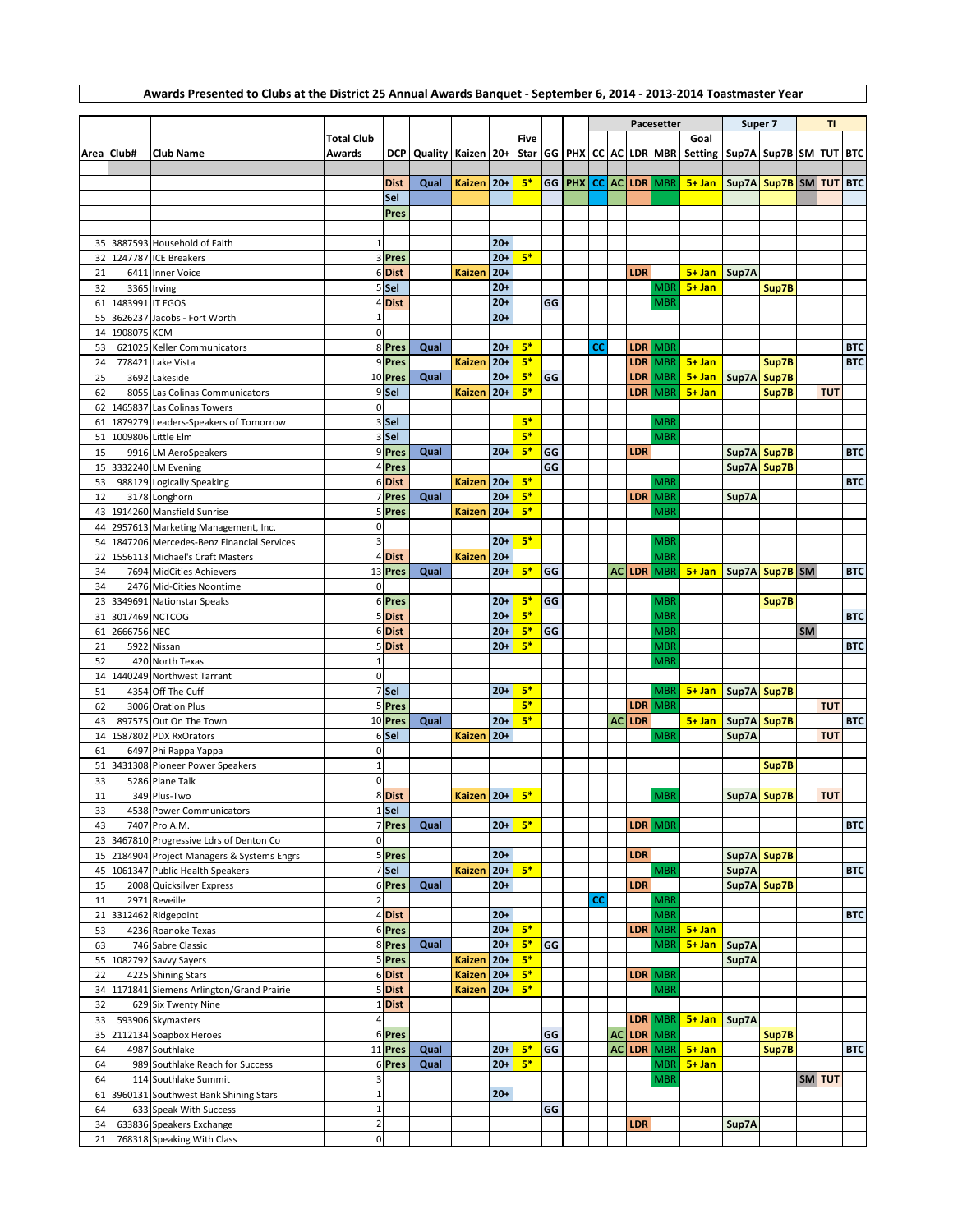## **Awards Presented to Clubs at the District 25 Annual Awards Banquet - September 6, 2014 - 2013-2014 Toastmaster Year**

|        |                 |                                             |                         |                  |                              |               |       |             |    |            |    |  |            | Pacesetter    |                                                          |             | Super 7     |           | <b>TI</b>  |            |
|--------|-----------------|---------------------------------------------|-------------------------|------------------|------------------------------|---------------|-------|-------------|----|------------|----|--|------------|---------------|----------------------------------------------------------|-------------|-------------|-----------|------------|------------|
|        |                 |                                             | <b>Total Club</b>       |                  |                              |               |       | <b>Five</b> |    |            |    |  |            |               | Goal                                                     |             |             |           |            |            |
|        | Area Club#      | <b>Club Name</b>                            | Awards                  |                  | DCP   Quality   Kaizen   20+ |               |       |             |    |            |    |  |            |               | Star GG PHX CC AC LDR MBR Setting Sup7A Sup7B SM TUT BTC |             |             |           |            |            |
|        |                 |                                             |                         |                  |                              |               |       |             |    |            |    |  |            |               |                                                          |             |             |           |            |            |
|        |                 |                                             |                         | <b>Dist</b>      | Qual                         | Kaizen   20+  |       | $5*$        | GG | <b>PHX</b> |    |  |            | CC AC LDR MBR | 5+ Jan   Sup7A   Sup7B   SM   TUT   BTC                  |             |             |           |            |            |
|        |                 |                                             |                         | Sel              |                              |               |       |             |    |            |    |  |            |               |                                                          |             |             |           |            |            |
|        |                 |                                             |                         | Pres             |                              |               |       |             |    |            |    |  |            |               |                                                          |             |             |           |            |            |
|        |                 |                                             |                         |                  |                              |               |       |             |    |            |    |  |            |               |                                                          |             |             |           |            |            |
|        |                 |                                             | $\mathbf 1$             |                  |                              |               | $20+$ |             |    |            |    |  |            |               |                                                          |             |             |           |            |            |
|        |                 | 35 3887593 Household of Faith               |                         |                  |                              |               |       |             |    |            |    |  |            |               |                                                          |             |             |           |            |            |
| 32     |                 | 1247787 ICE Breakers                        |                         | 3 Pres           |                              |               | $20+$ | $5*$        |    |            |    |  |            |               |                                                          |             |             |           |            |            |
| 21     |                 | 6411 Inner Voice                            |                         | 6Dist            |                              | <b>Kaizen</b> | $20+$ |             |    |            |    |  | LDR        |               | 5+ Jan   Sup7A                                           |             |             |           |            |            |
| 32     |                 | 3365 Irving                                 |                         | 5 Sel            |                              |               | $20+$ |             |    |            |    |  |            | MBR           | $5 + Jan$                                                |             | Sup7B       |           |            |            |
| 61     | 1483991 IT EGOS |                                             |                         | 4Dist            |                              |               | $20+$ |             | GG |            |    |  |            | <b>MBR</b>    |                                                          |             |             |           |            |            |
| 55     |                 | 3626237 Jacobs - Fort Worth                 | $\mathbf 1$             |                  |                              |               | $20+$ |             |    |            |    |  |            |               |                                                          |             |             |           |            |            |
| 14     | 1908075 KCM     |                                             | $\pmb{0}$               |                  |                              |               |       |             |    |            |    |  |            |               |                                                          |             |             |           |            |            |
| 53     |                 | 621025 Keller Communicators                 |                         | 8 Pres           | Qual                         |               | $20+$ | $5*$        |    |            | СĊ |  | LDR        | <b>MBR</b>    |                                                          |             |             |           |            | <b>BTC</b> |
|        |                 |                                             |                         |                  |                              |               |       | $5*$        |    |            |    |  |            |               |                                                          |             |             |           |            |            |
| 24     |                 | 778421 Lake Vista                           |                         | 9 Pres           |                              | <b>Kaizen</b> | $20+$ |             |    |            |    |  | <b>LDR</b> | <b>MBR</b>    | $5 + Jan$                                                |             | Sup7B       |           |            | <b>BTC</b> |
| 25     |                 | 3692 Lakeside                               |                         | 10 Pres          | Qual                         |               | $20+$ | $5*$        | GG |            |    |  | LDR        | <b>MBR</b>    | 5+ Jan   Sup7A   Sup7B                                   |             |             |           |            |            |
| 62     |                 | 8055 Las Colinas Communicators              |                         | 9 <sub>Sel</sub> |                              | <b>Kaizen</b> | $20+$ | $5*$        |    |            |    |  | LDR        | <b>MBR</b>    | $5 + Jan$                                                |             | Sup7B       |           | <b>TUT</b> |            |
|        |                 | 62 1465837 Las Colinas Towers               | $\mathbf 0$             |                  |                              |               |       |             |    |            |    |  |            |               |                                                          |             |             |           |            |            |
| 61     |                 | 1879279 Leaders-Speakers of Tomorrow        |                         | 3 Sel            |                              |               |       | $5*$        |    |            |    |  |            | <b>MBR</b>    |                                                          |             |             |           |            |            |
|        |                 | 51 1009806 Little Elm                       |                         | 3 Sel            |                              |               |       | $5*$        |    |            |    |  |            | <b>MBR</b>    |                                                          |             |             |           |            |            |
| 15     |                 | 9916 LM AeroSpeakers                        |                         | 9 Pres           | Qual                         |               | $20+$ | $5*$        | GG |            |    |  | LDR        |               |                                                          | Sup7A Sup7B |             |           |            | <b>BTC</b> |
|        |                 |                                             |                         |                  |                              |               |       |             | GG |            |    |  |            |               |                                                          |             |             |           |            |            |
| 15     |                 | 3332240 LM Evening                          |                         | 4 Pres           |                              |               |       |             |    |            |    |  |            |               |                                                          |             | Sup7A Sup7B |           |            |            |
| 53     |                 | 988129 Logically Speaking                   |                         | 6Dist            |                              | <b>Kaizen</b> | $20+$ | $5*$        |    |            |    |  |            | <b>MBR</b>    |                                                          |             |             |           |            | <b>BTC</b> |
| 12     |                 | 3178 Longhorn                               |                         | 7 Pres           | Qual                         |               | $20+$ | $5*$        |    |            |    |  | <b>LDR</b> | <b>MBR</b>    |                                                          | Sup7A       |             |           |            |            |
|        |                 | 43 1914260 Mansfield Sunrise                |                         | 5 Pres           |                              | Kaizen        | $20+$ | $5*$        |    |            |    |  |            | <b>MBR</b>    |                                                          |             |             |           |            |            |
| 44     |                 | 2957613 Marketing Management, Inc.          | $\pmb{0}$               |                  |                              |               |       |             |    |            |    |  |            |               |                                                          |             |             |           |            |            |
| 54     |                 | 1847206 Mercedes-Benz Financial Services    | $\overline{\mathbf{3}}$ |                  |                              |               | $20+$ | $5*$        |    |            |    |  |            | <b>MBR</b>    |                                                          |             |             |           |            |            |
| 22     |                 | 1556113 Michael's Craft Masters             |                         | 4 Dist           |                              | <b>Kaizen</b> | $20+$ |             |    |            |    |  |            | <b>MBR</b>    |                                                          |             |             |           |            |            |
| 34     |                 | 7694 MidCities Achievers                    |                         | 13 Pres          | Qual                         |               | $20+$ | $5*$        | GG |            |    |  | AC LDR     | <b>MBR</b>    | 5+ Jan   Sup7A   Sup7B   SM                              |             |             |           |            | <b>BTC</b> |
|        |                 |                                             |                         |                  |                              |               |       |             |    |            |    |  |            |               |                                                          |             |             |           |            |            |
| 34     |                 | 2476 Mid-Cities Noontime                    | $\mathbf 0$             |                  |                              |               |       |             |    |            |    |  |            |               |                                                          |             |             |           |            |            |
| 23     |                 | 3349691 Nationstar Speaks                   |                         | 6 Pres           |                              |               | $20+$ | $5*$        | GG |            |    |  |            | <b>MBR</b>    |                                                          |             | Sup7B       |           |            |            |
| 31     | 3017469 NCTCOG  |                                             |                         | 5Dist            |                              |               | $20+$ | $5*$        |    |            |    |  |            | <b>MBR</b>    |                                                          |             |             |           |            | <b>BTC</b> |
| 61     | 2666756 NEC     |                                             |                         | 6Dist            |                              |               | $20+$ | $5*$        | GG |            |    |  |            | <b>MBR</b>    |                                                          |             |             | <b>SM</b> |            |            |
| 21     |                 | 5922 Nissan                                 |                         | 5Dist            |                              |               | $20+$ | $5*$        |    |            |    |  |            | <b>MBR</b>    |                                                          |             |             |           |            | <b>BTC</b> |
| 52     |                 | 420 North Texas                             | $\mathbf{1}$            |                  |                              |               |       |             |    |            |    |  |            | <b>MBR</b>    |                                                          |             |             |           |            |            |
| 14     |                 | 1440249 Northwest Tarrant                   | $\mathbf 0$             |                  |                              |               |       |             |    |            |    |  |            |               |                                                          |             |             |           |            |            |
| 51     |                 | 4354 Off The Cuff                           |                         | 7 Sel            |                              |               | $20+$ | $5*$        |    |            |    |  |            | <b>MBR</b>    | $5 + Jan$                                                | Sup7A Sup7B |             |           |            |            |
| 62     |                 |                                             |                         | 5 Pres           |                              |               |       | $5*$        |    |            |    |  | <b>LDR</b> |               |                                                          |             |             |           | <b>TUT</b> |            |
|        |                 | 3006 Oration Plus                           |                         |                  |                              |               |       |             |    |            |    |  |            | <b>MBR</b>    |                                                          |             |             |           |            |            |
| 43     |                 | 897575 Out On The Town                      |                         | 10 Pres          | Qual                         |               | $20+$ | $5*$        |    |            |    |  | AC LDR     |               | $5 + Jan$                                                | Sup7A Sup7B |             |           |            | <b>BTC</b> |
| 14     |                 | 1587802 PDX RxOrators                       |                         | 6 Sel            |                              | Kaizen        | $20+$ |             |    |            |    |  |            | <b>MBR</b>    |                                                          | Sup7A       |             |           | <b>TUT</b> |            |
| 61     |                 | 6497 Phi Rappa Yappa                        | $\mathbf 0$             |                  |                              |               |       |             |    |            |    |  |            |               |                                                          |             |             |           |            |            |
| 51     |                 | 3431308 Pioneer Power Speakers              | $\,1\,$                 |                  |                              |               |       |             |    |            |    |  |            |               |                                                          |             | Sup7B       |           |            |            |
| 33     |                 | 5286 Plane Talk                             | $\pmb{0}$               |                  |                              |               |       |             |    |            |    |  |            |               |                                                          |             |             |           |            |            |
| 11     |                 | 349 Plus-Two                                |                         | 8Dist            |                              | Kaizen 20+    |       | $5*$        |    |            |    |  |            | <b>MBR</b>    |                                                          |             | Sup7A Sup7B |           | <b>TUT</b> |            |
| 33     |                 | 4538 Power Communicators                    |                         | 1 Sel            |                              |               |       |             |    |            |    |  |            |               |                                                          |             |             |           |            |            |
|        |                 |                                             |                         |                  |                              |               |       | $5*$        |    |            |    |  |            |               |                                                          |             |             |           |            |            |
| 43     |                 | 7407 Pro A.M.                               |                         | 7 Pres           | Qual                         |               | $20+$ |             |    |            |    |  |            | LDR MBR       |                                                          |             |             |           |            | <b>BTC</b> |
| 23     |                 | 3467810 Progressive Ldrs of Denton Co       | 0                       |                  |                              |               |       |             |    |            |    |  |            |               |                                                          |             |             |           |            |            |
|        |                 | 15 2184904 Project Managers & Systems Engrs |                         | 5 Pres           |                              |               | $20+$ |             |    |            |    |  | LDR        |               |                                                          |             | Sup7A Sup7B |           |            |            |
| 45     |                 | 1061347 Public Health Speakers              |                         | $7$ Sel          |                              | <b>Kaizen</b> | $20+$ | $5*$        |    |            |    |  |            | <b>MBR</b>    |                                                          | Sup7A       |             |           |            | <b>BTC</b> |
| 15     |                 | 2008 Quicksilver Express                    |                         | 6 Pres           | Qual                         |               | $20+$ |             |    |            |    |  | <b>LDR</b> |               |                                                          |             | Sup7A Sup7B |           |            |            |
| $11\,$ |                 | 2971 Reveille                               | $\overline{\mathbf{c}}$ |                  |                              |               |       |             |    |            | cc |  |            | <b>MBR</b>    |                                                          |             |             |           |            |            |
| 21     |                 | 3312462 Ridgepoint                          |                         | 4Dist            |                              |               | $20+$ |             |    |            |    |  |            | <b>MBR</b>    |                                                          |             |             |           |            | <b>BTC</b> |
| 53     |                 |                                             |                         | 6 Pres           |                              |               | $20+$ | $5*$        |    |            |    |  |            |               | $5 + Jan$                                                |             |             |           |            |            |
|        |                 | 4236 Roanoke Texas                          |                         |                  |                              |               |       |             |    |            |    |  |            | LDR MBR       |                                                          |             |             |           |            |            |
| 63     |                 | 746 Sabre Classic                           |                         | 8 Pres           | Qual                         |               | $20+$ | $5*$        | GG |            |    |  |            | MBR           | $5 + Jan$                                                | Sup7A       |             |           |            |            |
| 55     |                 | 1082792 Savvy Sayers                        |                         | 5 Pres           |                              | <b>Kaizen</b> | $20+$ | $5*$        |    |            |    |  |            |               |                                                          | Sup7A       |             |           |            |            |
| 22     |                 | 4225 Shining Stars                          |                         | 6Dist            |                              | <b>Kaizen</b> | $20+$ | $5*$        |    |            |    |  |            | LDR MBR       |                                                          |             |             |           |            |            |
| 34     |                 | 1171841 Siemens Arlington/Grand Prairie     |                         | 5 Dist           |                              | Kaizen        | $20+$ | $5*$        |    |            |    |  |            | <b>MBR</b>    |                                                          |             |             |           |            |            |
| 32     |                 | 629 Six Twenty Nine                         |                         | 1Dist            |                              |               |       |             |    |            |    |  |            |               |                                                          |             |             |           |            |            |
| 33     |                 | 593906 Skymasters                           | $\overline{\mathbf{4}}$ |                  |                              |               |       |             |    |            |    |  | <b>LDR</b> | <b>MBR</b>    | 5+ Jan Sup7A                                             |             |             |           |            |            |
| 35     |                 | 2112134 Soapbox Heroes                      |                         | 6 Pres           |                              |               |       |             | GG |            |    |  |            | AC LDR MBR    |                                                          |             | Sup7B       |           |            |            |
|        |                 |                                             |                         |                  | Qual                         |               | $20+$ | $5*$        | GG |            |    |  | AC LDR     | <b>MBR</b>    | $5 + Jan$                                                |             |             |           |            |            |
| 64     |                 | 4987 Southlake                              |                         | 11 Pres          |                              |               |       |             |    |            |    |  |            |               |                                                          |             | Sup7B       |           |            | <b>BTC</b> |
| 64     |                 | 989 Southlake Reach for Success             |                         | 6 Pres           | Qual                         |               | $20+$ | $5*$        |    |            |    |  |            | MBR           | $5 + Jan$                                                |             |             |           |            |            |
| 64     |                 | 114 Southlake Summit                        | 3                       |                  |                              |               |       |             |    |            |    |  |            | <b>MBR</b>    |                                                          |             |             |           | SM TUT     |            |
| 61     |                 | 3960131 Southwest Bank Shining Stars        | $\mathbf 1$             |                  |                              |               | $20+$ |             |    |            |    |  |            |               |                                                          |             |             |           |            |            |
| 64     |                 | 633 Speak With Success                      | $\mathbf 1$             |                  |                              |               |       |             | GG |            |    |  |            |               |                                                          |             |             |           |            |            |
| 34     |                 | 633836 Speakers Exchange                    | $\mathbf 2$             |                  |                              |               |       |             |    |            |    |  | LDR        |               |                                                          | Sup7A       |             |           |            |            |
| 21     |                 | 768318 Speaking With Class                  | $\mathbf 0$             |                  |                              |               |       |             |    |            |    |  |            |               |                                                          |             |             |           |            |            |
|        |                 |                                             |                         |                  |                              |               |       |             |    |            |    |  |            |               |                                                          |             |             |           |            |            |